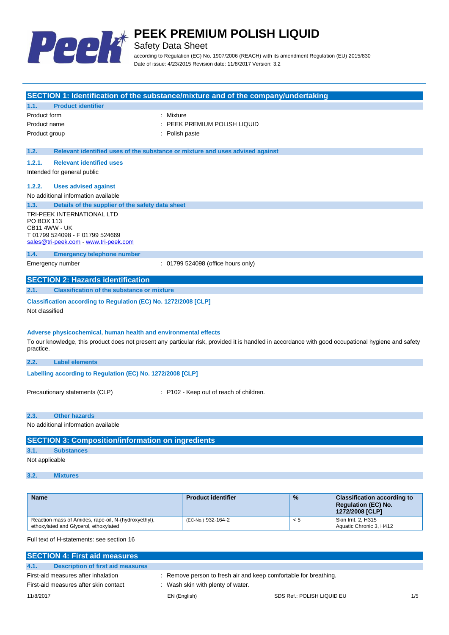

Safety Data Sheet

according to Regulation (EC) No. 1907/2006 (REACH) with its amendment Regulation (EU) 2015/830 Date of issue: 4/23/2015 Revision date: 11/8/2017 Version: 3.2

| <b>Name</b>                                                                                                                                                                                                                         |                                                                                                                         | <b>Product identifier</b>                                                         | % | <b>Classification according to</b><br><b>Regulation (EC) No.</b> |
|-------------------------------------------------------------------------------------------------------------------------------------------------------------------------------------------------------------------------------------|-------------------------------------------------------------------------------------------------------------------------|-----------------------------------------------------------------------------------|---|------------------------------------------------------------------|
|                                                                                                                                                                                                                                     |                                                                                                                         |                                                                                   |   |                                                                  |
| 3.2.                                                                                                                                                                                                                                | <b>Mixtures</b>                                                                                                         |                                                                                   |   |                                                                  |
| Not applicable                                                                                                                                                                                                                      |                                                                                                                         |                                                                                   |   |                                                                  |
| 3.1.                                                                                                                                                                                                                                | <b>Substances</b>                                                                                                       |                                                                                   |   |                                                                  |
|                                                                                                                                                                                                                                     | <b>SECTION 3: Composition/information on ingredients</b>                                                                |                                                                                   |   |                                                                  |
| No additional information available                                                                                                                                                                                                 |                                                                                                                         |                                                                                   |   |                                                                  |
| 2.3.<br><b>Other hazards</b>                                                                                                                                                                                                        |                                                                                                                         |                                                                                   |   |                                                                  |
| Precautionary statements (CLP)<br>: P102 - Keep out of reach of children.                                                                                                                                                           |                                                                                                                         |                                                                                   |   |                                                                  |
| Labelling according to Regulation (EC) No. 1272/2008 [CLP]                                                                                                                                                                          |                                                                                                                         |                                                                                   |   |                                                                  |
| 2.2.                                                                                                                                                                                                                                | <b>Label elements</b>                                                                                                   |                                                                                   |   |                                                                  |
| Adverse physicochemical, human health and environmental effects<br>To our knowledge, this product does not present any particular risk, provided it is handled in accordance with good occupational hygiene and safety<br>practice. |                                                                                                                         |                                                                                   |   |                                                                  |
| Not classified                                                                                                                                                                                                                      |                                                                                                                         |                                                                                   |   |                                                                  |
| Classification according to Regulation (EC) No. 1272/2008 [CLP]                                                                                                                                                                     |                                                                                                                         |                                                                                   |   |                                                                  |
| 2.1.                                                                                                                                                                                                                                | <b>Classification of the substance or mixture</b>                                                                       |                                                                                   |   |                                                                  |
|                                                                                                                                                                                                                                     | <b>SECTION 2: Hazards identification</b>                                                                                |                                                                                   |   |                                                                  |
|                                                                                                                                                                                                                                     | Emergency number                                                                                                        | : 01799 524098 (office hours only)                                                |   |                                                                  |
| 1.4.                                                                                                                                                                                                                                | <b>Emergency telephone number</b>                                                                                       |                                                                                   |   |                                                                  |
| PO BOX 113                                                                                                                                                                                                                          | TRI-PEEK INTERNATIONAL LTD<br>CB11 4WW - UK<br>T 01799 524098 - F 01799 524669<br>sales@tri-peek.com - www.tri-peek.com |                                                                                   |   |                                                                  |
| 1.3.                                                                                                                                                                                                                                | Details of the supplier of the safety data sheet                                                                        |                                                                                   |   |                                                                  |
|                                                                                                                                                                                                                                     | No additional information available                                                                                     |                                                                                   |   |                                                                  |
| 1.2.2.                                                                                                                                                                                                                              | <b>Uses advised against</b>                                                                                             |                                                                                   |   |                                                                  |
|                                                                                                                                                                                                                                     | Intended for general public                                                                                             |                                                                                   |   |                                                                  |
| 1.2.1.                                                                                                                                                                                                                              | <b>Relevant identified uses</b>                                                                                         |                                                                                   |   |                                                                  |
| 1.2.                                                                                                                                                                                                                                | Relevant identified uses of the substance or mixture and uses advised against                                           |                                                                                   |   |                                                                  |
| Product name<br>Product group                                                                                                                                                                                                       |                                                                                                                         | PEEK PREMIUM POLISH LIQUID<br>: Polish paste                                      |   |                                                                  |
| Product form<br>: Mixture                                                                                                                                                                                                           |                                                                                                                         |                                                                                   |   |                                                                  |
| 1.1.                                                                                                                                                                                                                                | <b>Product identifier</b>                                                                                               |                                                                                   |   |                                                                  |
|                                                                                                                                                                                                                                     |                                                                                                                         | SECTION 1: Identification of the substance/mixture and of the company/undertaking |   |                                                                  |

Full text of H-statements: see section 16

ethoxylated and Glycerol, ethoxylated

Reaction mass of Amides, rape-oil, N-(hydroxyethyl),

| <b>SECTION 4: First aid measures</b>      |                                                                  |                            |     |
|-------------------------------------------|------------------------------------------------------------------|----------------------------|-----|
| Description of first aid measures<br>4.1. |                                                                  |                            |     |
| First-aid measures after inhalation       | : Remove person to fresh air and keep comfortable for breathing. |                            |     |
| First-aid measures after skin contact     | Wash skin with plenty of water.                                  |                            |     |
| 11/8/2017                                 | EN (English)                                                     | SDS Ref.: POLISH LIQUID EU | 1/5 |

(EC-No.) 932-164-2 < 5 Skin Irrit. 2, H315

**1272/2008 [CLP]**

Aquatic Chronic 3, H412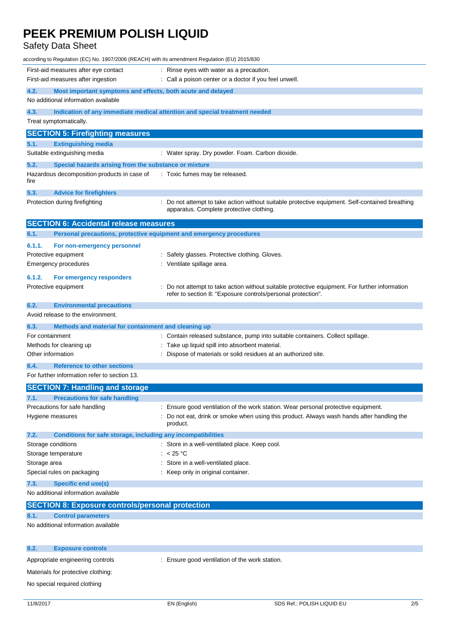# Safety Data Sheet

| according to Regulation (EC) No. 1907/2006 (REACH) with its amendment Regulation (EU) 2015/830                                                       |                                                                                                                                           |  |  |
|------------------------------------------------------------------------------------------------------------------------------------------------------|-------------------------------------------------------------------------------------------------------------------------------------------|--|--|
| First-aid measures after eye contact                                                                                                                 | : Rinse eyes with water as a precaution.                                                                                                  |  |  |
| First-aid measures after ingestion                                                                                                                   | : Call a poison center or a doctor if you feel unwell.                                                                                    |  |  |
| 4.2.<br>Most important symptoms and effects, both acute and delayed                                                                                  |                                                                                                                                           |  |  |
| No additional information available                                                                                                                  |                                                                                                                                           |  |  |
| 4.3.                                                                                                                                                 | Indication of any immediate medical attention and special treatment needed                                                                |  |  |
| Treat symptomatically.                                                                                                                               |                                                                                                                                           |  |  |
| <b>SECTION 5: Firefighting measures</b>                                                                                                              |                                                                                                                                           |  |  |
| 5.1.<br><b>Extinguishing media</b>                                                                                                                   |                                                                                                                                           |  |  |
| Suitable extinguishing media                                                                                                                         | : Water spray. Dry powder. Foam. Carbon dioxide.                                                                                          |  |  |
| 5.2.<br>Special hazards arising from the substance or mixture                                                                                        |                                                                                                                                           |  |  |
| Hazardous decomposition products in case of<br>fire                                                                                                  | : Toxic fumes may be released.                                                                                                            |  |  |
| 5.3.<br><b>Advice for firefighters</b>                                                                                                               |                                                                                                                                           |  |  |
| Protection during firefighting                                                                                                                       | Do not attempt to take action without suitable protective equipment. Self-contained breathing<br>apparatus. Complete protective clothing. |  |  |
| <b>SECTION 6: Accidental release measures</b>                                                                                                        |                                                                                                                                           |  |  |
| Personal precautions, protective equipment and emergency procedures<br>6.1.                                                                          |                                                                                                                                           |  |  |
| 6.1.1.<br>For non-emergency personnel                                                                                                                |                                                                                                                                           |  |  |
| Protective equipment                                                                                                                                 | : Safety glasses. Protective clothing. Gloves.                                                                                            |  |  |
| <b>Emergency procedures</b>                                                                                                                          | : Ventilate spillage area.                                                                                                                |  |  |
| 6.1.2.<br>For emergency responders                                                                                                                   |                                                                                                                                           |  |  |
| Protective equipment                                                                                                                                 | Do not attempt to take action without suitable protective equipment. For further information                                              |  |  |
|                                                                                                                                                      | refer to section 8: "Exposure controls/personal protection".                                                                              |  |  |
| 6.2.<br><b>Environmental precautions</b>                                                                                                             |                                                                                                                                           |  |  |
| Avoid release to the environment.                                                                                                                    |                                                                                                                                           |  |  |
| 6.3.<br>Methods and material for containment and cleaning up                                                                                         |                                                                                                                                           |  |  |
| : Contain released substance, pump into suitable containers. Collect spillage.<br>For containment<br>: Take up liquid spill into absorbent material. |                                                                                                                                           |  |  |
| Methods for cleaning up<br>Other information                                                                                                         | : Dispose of materials or solid residues at an authorized site.                                                                           |  |  |
| 6.4.<br><b>Reference to other sections</b>                                                                                                           |                                                                                                                                           |  |  |
| For further information refer to section 13.                                                                                                         |                                                                                                                                           |  |  |
| <b>SECTION 7: Handling and storage</b>                                                                                                               |                                                                                                                                           |  |  |
| 7.1.<br><b>Precautions for safe handling</b>                                                                                                         |                                                                                                                                           |  |  |
| Precautions for safe handling                                                                                                                        | Ensure good ventilation of the work station. Wear personal protective equipment.                                                          |  |  |
| Hygiene measures                                                                                                                                     | Do not eat, drink or smoke when using this product. Always wash hands after handling the                                                  |  |  |
|                                                                                                                                                      | product.                                                                                                                                  |  |  |
| 7.2.<br>Conditions for safe storage, including any incompatibilities                                                                                 |                                                                                                                                           |  |  |
| Storage conditions                                                                                                                                   | : Store in a well-ventilated place. Keep cool.                                                                                            |  |  |
| Storage temperature<br>Storage area                                                                                                                  | : $< 25 °C$                                                                                                                               |  |  |
| Special rules on packaging                                                                                                                           | Store in a well-ventilated place.<br>: Keep only in original container.                                                                   |  |  |
| 7.3.                                                                                                                                                 |                                                                                                                                           |  |  |
| <b>Specific end use(s)</b><br>No additional information available                                                                                    |                                                                                                                                           |  |  |
|                                                                                                                                                      |                                                                                                                                           |  |  |
| <b>SECTION 8: Exposure controls/personal protection</b><br><b>Control parameters</b><br>8.1.                                                         |                                                                                                                                           |  |  |
| No additional information available                                                                                                                  |                                                                                                                                           |  |  |
|                                                                                                                                                      |                                                                                                                                           |  |  |
| 8.2.<br><b>Exposure controls</b>                                                                                                                     |                                                                                                                                           |  |  |
| Appropriate engineering controls                                                                                                                     | : Ensure good ventilation of the work station.                                                                                            |  |  |
|                                                                                                                                                      |                                                                                                                                           |  |  |
| Materials for protective clothing:                                                                                                                   |                                                                                                                                           |  |  |

No special required clothing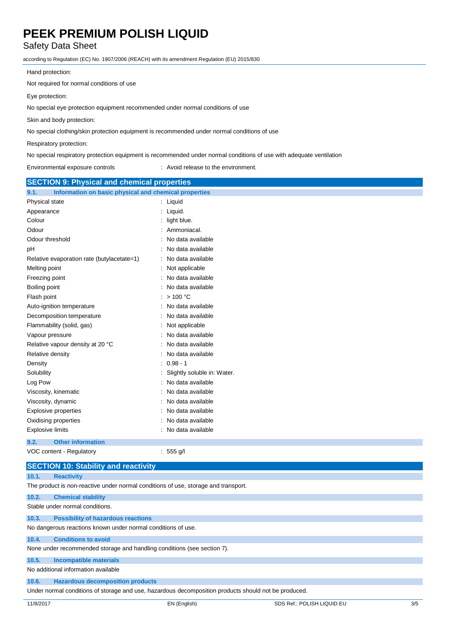# Safety Data Sheet

according to Regulation (EC) No. 1907/2006 (REACH) with its amendment Regulation (EU) 2015/830

Hand protection:

Not required for normal conditions of use

Eye protection:

No special eye protection equipment recommended under normal conditions of use

Skin and body protection:

No special clothing/skin protection equipment is recommended under normal conditions of use

Respiratory protection:

No special respiratory protection equipment is recommended under normal conditions of use with adequate ventilation

Environmental exposure controls : Avoid release to the environment.

| <b>SECTION 9: Physical and chemical properties</b>            |                             |  |
|---------------------------------------------------------------|-----------------------------|--|
| Information on basic physical and chemical properties<br>9.1. |                             |  |
| Physical state                                                | : Liquid                    |  |
| Appearance                                                    | Liquid.                     |  |
| Colour                                                        | light blue.                 |  |
| Odour                                                         | Ammoniacal.                 |  |
| Odour threshold                                               | No data available           |  |
| рH                                                            | No data available           |  |
| Relative evaporation rate (butylacetate=1)                    | No data available           |  |
| Melting point                                                 | Not applicable              |  |
| Freezing point                                                | No data available           |  |
| Boiling point                                                 | No data available           |  |
| Flash point                                                   | >100 °C                     |  |
| Auto-ignition temperature                                     | No data available           |  |
| Decomposition temperature                                     | No data available           |  |
| Flammability (solid, gas)                                     | Not applicable              |  |
| Vapour pressure                                               | No data available           |  |
| Relative vapour density at 20 °C                              | No data available           |  |
| Relative density                                              | No data available           |  |
| Density                                                       | $0.98 - 1$                  |  |
| Solubility                                                    | Slightly soluble in: Water. |  |
| Log Pow                                                       | No data available           |  |
| Viscosity, kinematic                                          | No data available           |  |
| Viscosity, dynamic                                            | No data available           |  |
| <b>Explosive properties</b>                                   | No data available           |  |
| Oxidising properties                                          | No data available           |  |
| <b>Explosive limits</b>                                       | No data available           |  |
| 9.2.<br><b>Other information</b>                              |                             |  |
| VOC content - Regulatory<br>555 g/l<br>÷                      |                             |  |
| <b>SECTION 10: Stability and reactivity</b>                   |                             |  |

| 10.1. | <b>Reactivity</b> |
|-------|-------------------|
|       |                   |

The product is non-reactive under normal conditions of use, storage and transport.

## **10.2. Chemical stability**

Stable under normal conditions.

## **10.3. Possibility of hazardous reactions**

No dangerous reactions known under normal conditions of use.

## **10.4. Conditions to avoid**

None under recommended storage and handling conditions (see section 7).

## **10.5. Incompatible materials**

No additional information available

**10.6. Hazardous decomposition products**

Under normal conditions of storage and use, hazardous decomposition products should not be produced.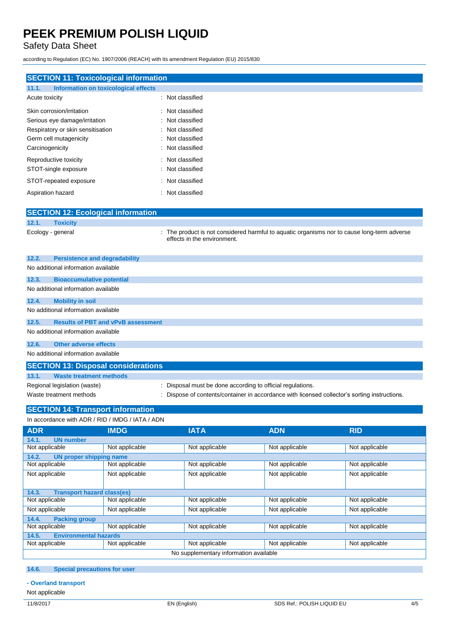Safety Data Sheet

according to Regulation (EC) No. 1907/2006 (REACH) with its amendment Regulation (EU) 2015/830

| <b>SECTION 11: Toxicological information</b>                                                                                                 |                                                                                                                          |  |  |
|----------------------------------------------------------------------------------------------------------------------------------------------|--------------------------------------------------------------------------------------------------------------------------|--|--|
| Information on toxicological effects<br>11.1.                                                                                                |                                                                                                                          |  |  |
| Acute toxicity                                                                                                                               | : Not classified                                                                                                         |  |  |
| Skin corrosion/irritation<br>Serious eye damage/irritation<br>Respiratory or skin sensitisation<br>Germ cell mutagenicity<br>Carcinogenicity | Not classified<br>Not classified<br>Not classified<br>Not classified<br>Not classified                                   |  |  |
| Reproductive toxicity<br>STOT-single exposure                                                                                                | Not classified<br>Not classified                                                                                         |  |  |
| STOT-repeated exposure<br>Aspiration hazard                                                                                                  | Not classified<br>Not classified                                                                                         |  |  |
| <b>SECTION 12: Ecological information</b>                                                                                                    |                                                                                                                          |  |  |
| 12.1.<br><b>Toxicity</b>                                                                                                                     |                                                                                                                          |  |  |
| Ecology - general                                                                                                                            | The product is not considered harmful to aquatic organisms nor to cause long-term adverse<br>effects in the environment. |  |  |
| 12.2.<br><b>Persistence and degradability</b>                                                                                                |                                                                                                                          |  |  |
| No additional information available                                                                                                          |                                                                                                                          |  |  |
| 12.3.<br><b>Bioaccumulative potential</b>                                                                                                    |                                                                                                                          |  |  |
| No additional information available                                                                                                          |                                                                                                                          |  |  |
| 12.4.<br><b>Mobility in soil</b>                                                                                                             |                                                                                                                          |  |  |
| No additional information available                                                                                                          |                                                                                                                          |  |  |
| 12.5.<br><b>Results of PBT and vPvB assessment</b>                                                                                           |                                                                                                                          |  |  |
| No additional information available                                                                                                          |                                                                                                                          |  |  |
| <b>Other adverse effects</b><br>12.6.                                                                                                        |                                                                                                                          |  |  |
| No additional information available                                                                                                          |                                                                                                                          |  |  |
| <b>SECTION 13: Disposal considerations</b>                                                                                                   |                                                                                                                          |  |  |
| 13.1.<br><b>Waste treatment methods</b>                                                                                                      |                                                                                                                          |  |  |
| Regional legislation (waste)                                                                                                                 | Disposal must be done according to official regulations.                                                                 |  |  |
| Waste treatment methods                                                                                                                      | Dispose of contents/container in accordance with licensed collector's sorting instructions.                              |  |  |

#### **SECTION 14: Transport information** IN ADR / RID / IMDG / IATA / ADN

| IN accordance with ADR / RID / IMDG / IATA / ADN |                                   |                |                |                |
|--------------------------------------------------|-----------------------------------|----------------|----------------|----------------|
| <b>ADR</b>                                       | <b>IMDG</b>                       | <b>IATA</b>    | <b>ADN</b>     | <b>RID</b>     |
| 14.1.<br><b>UN number</b>                        |                                   |                |                |                |
| Not applicable                                   | Not applicable                    | Not applicable | Not applicable | Not applicable |
| 14.2.<br>UN proper shipping name                 |                                   |                |                |                |
| Not applicable                                   | Not applicable                    | Not applicable | Not applicable | Not applicable |
| Not applicable                                   | Not applicable                    | Not applicable | Not applicable | Not applicable |
|                                                  |                                   |                |                |                |
| 14.3.                                            | <b>Transport hazard class(es)</b> |                |                |                |
| Not applicable                                   | Not applicable                    | Not applicable | Not applicable | Not applicable |
| Not applicable                                   | Not applicable                    | Not applicable | Not applicable | Not applicable |
| 14.4.<br><b>Packing group</b>                    |                                   |                |                |                |
| Not applicable                                   | Not applicable                    | Not applicable | Not applicable | Not applicable |
| <b>Environmental hazards</b><br>14.5.            |                                   |                |                |                |
| Not applicable                                   | Not applicable                    | Not applicable | Not applicable | Not applicable |
| No supplementary information available           |                                   |                |                |                |

### **14.6. Special precautions for user**

- **- Overland transport**
- Not applicable